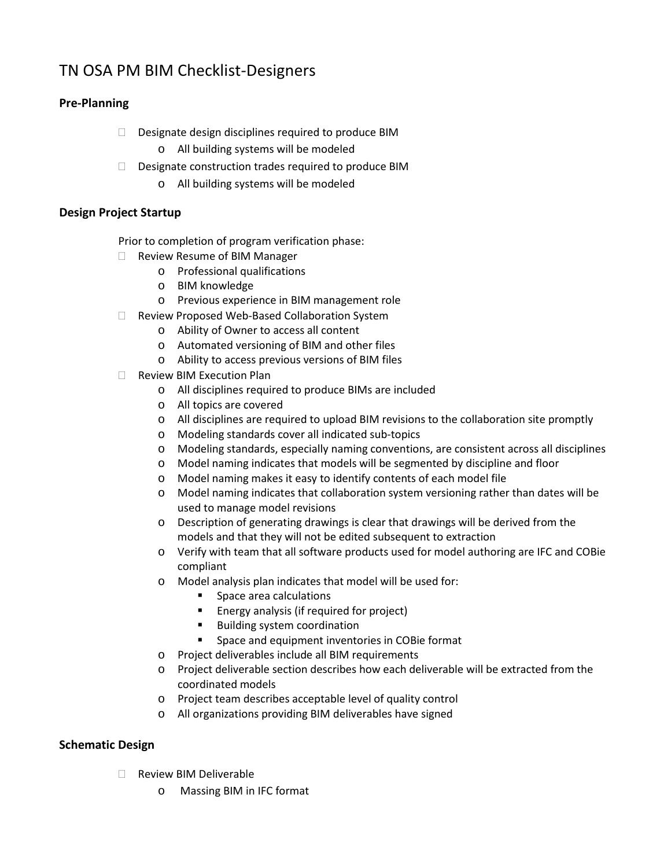# TN OSA PM BIM Checklist-Designers

## **Pre-Planning**

- $\square$  Designate design disciplines required to produce BIM
	- o All building systems will be modeled
- $\Box$  Designate construction trades required to produce BIM
	- o All building systems will be modeled

#### **Design Project Startup**

Prior to completion of program verification phase:

- □ Review Resume of BIM Manager
	- o Professional qualifications
	- o BIM knowledge
	- o Previous experience in BIM management role
- □ Review Proposed Web-Based Collaboration System
	- o Ability of Owner to access all content
	- o Automated versioning of BIM and other files
	- o Ability to access previous versions of BIM files
- Review BIM Execution Plan
	- o All disciplines required to produce BIMs are included
	- o All topics are covered
	- o All disciplines are required to upload BIM revisions to the collaboration site promptly
	- o Modeling standards cover all indicated sub-topics
	- o Modeling standards, especially naming conventions, are consistent across all disciplines
	- o Model naming indicates that models will be segmented by discipline and floor
	- o Model naming makes it easy to identify contents of each model file
	- o Model naming indicates that collaboration system versioning rather than dates will be used to manage model revisions
	- o Description of generating drawings is clear that drawings will be derived from the models and that they will not be edited subsequent to extraction
	- o Verify with team that all software products used for model authoring are IFC and COBie compliant
	- o Model analysis plan indicates that model will be used for:
		- **Space area calculations**
		- **Energy analysis (if required for project)**
		- **Building system coordination**
		- **Space and equipment inventories in COBie format**
	- o Project deliverables include all BIM requirements
	- o Project deliverable section describes how each deliverable will be extracted from the coordinated models
	- o Project team describes acceptable level of quality control
	- o All organizations providing BIM deliverables have signed

#### **Schematic Design**

- Review BIM Deliverable
	- o Massing BIM in IFC format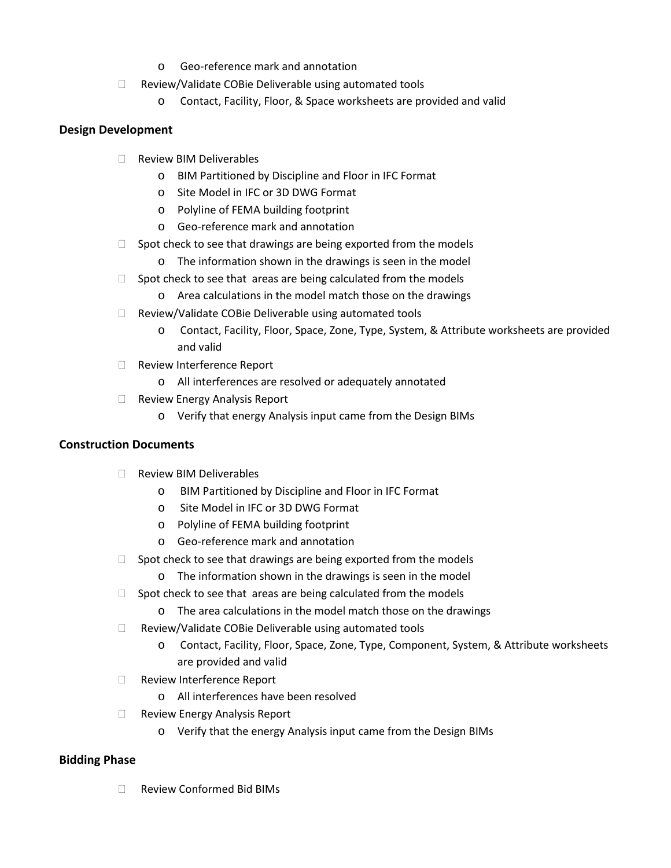- o Geo-reference mark and annotation
- $\Box$  Review/Validate COBie Deliverable using automated tools
	- o Contact, Facility, Floor, & Space worksheets are provided and valid

#### **Design Development**

- □ Review BIM Deliverables
	- o BIM Partitioned by Discipline and Floor in IFC Format
	- o Site Model in IFC or 3D DWG Format
	- o Polyline of FEMA building footprint
	- o Geo-reference mark and annotation
- $\Box$  Spot check to see that drawings are being exported from the models
	- o The information shown in the drawings is seen in the model
- $\Box$  Spot check to see that areas are being calculated from the models
	- o Area calculations in the model match those on the drawings
- □ Review/Validate COBie Deliverable using automated tools
	- o Contact, Facility, Floor, Space, Zone, Type, System, & Attribute worksheets are provided and valid
- Review Interference Report
	- o All interferences are resolved or adequately annotated
- $\Box$  Review Energy Analysis Report
	- o Verify that energy Analysis input came from the Design BIMs

#### **Construction Documents**

- Review BIM Deliverables
	- o BIM Partitioned by Discipline and Floor in IFC Format
	- o Site Model in IFC or 3D DWG Format
	- o Polyline of FEMA building footprint
	- o Geo-reference mark and annotation
- $\Box$  Spot check to see that drawings are being exported from the models
	- o The information shown in the drawings is seen in the model
- $\Box$  Spot check to see that areas are being calculated from the models
	- o The area calculations in the model match those on the drawings
- $\Box$  Review/Validate COBie Deliverable using automated tools
	- o Contact, Facility, Floor, Space, Zone, Type, Component, System, & Attribute worksheets are provided and valid
- □ Review Interference Report
	- o All interferences have been resolved
- □ Review Energy Analysis Report
	- o Verify that the energy Analysis input came from the Design BIMs

#### **Bidding Phase**

□ Review Conformed Bid BIMs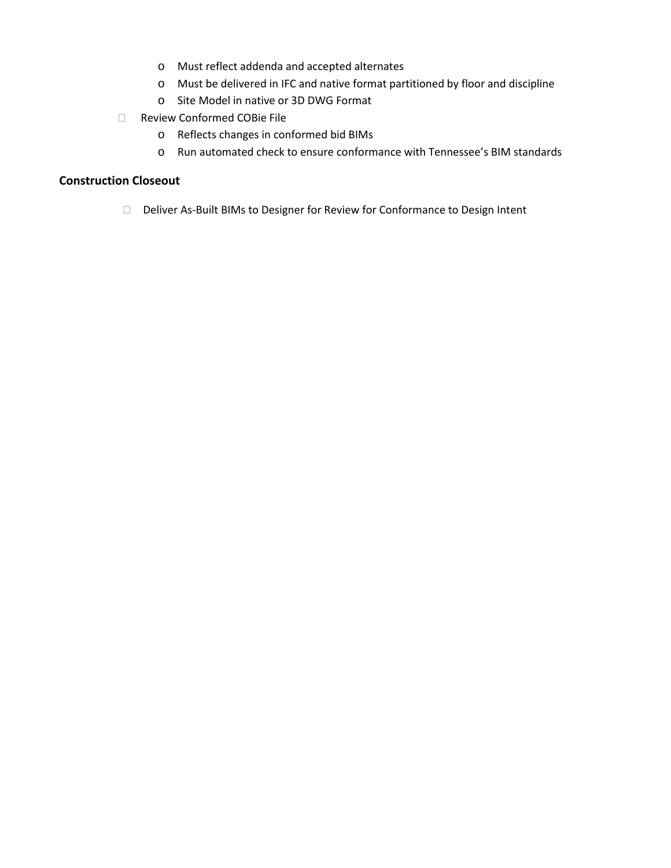- o Must reflect addenda and accepted alternates
- o Must be delivered in IFC and native format partitioned by floor and discipline
- o Site Model in native or 3D DWG Format
- Review Conformed COBie File
	- o Reflects changes in conformed bid BIMs
	- o Run automated check to ensure conformance with Tennessee's BIM standards

#### **Construction Closeout**

Deliver As-Built BIMs to Designer for Review for Conformance to Design Intent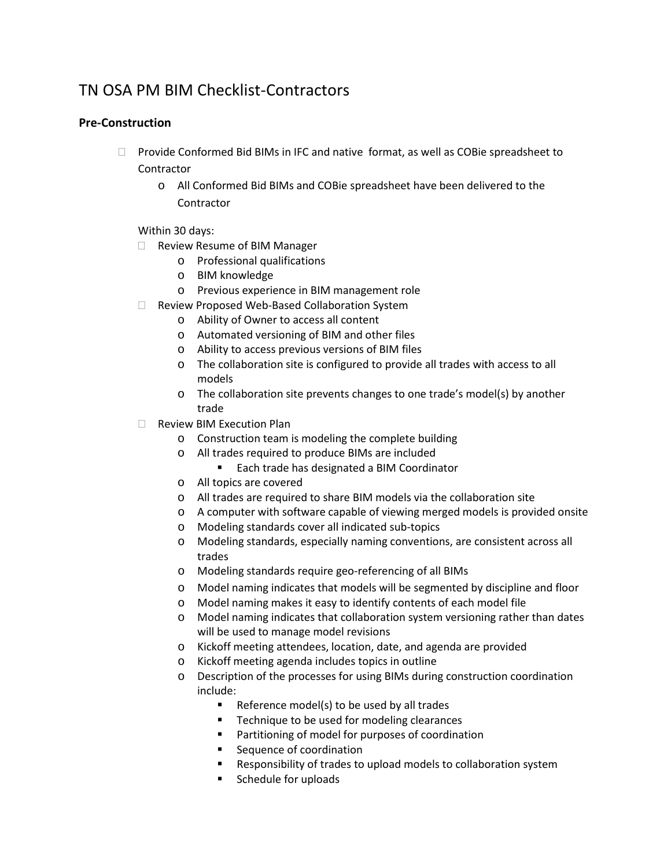## TN OSA PM BIM Checklist-Contractors

## **Pre-Construction**

- $\Box$  Provide Conformed Bid BIMs in IFC and native format, as well as COBie spreadsheet to **Contractor** 
	- o All Conformed Bid BIMs and COBie spreadsheet have been delivered to the Contractor

Within 30 days:

- □ Review Resume of BIM Manager
	- o Professional qualifications
	- o BIM knowledge
	- o Previous experience in BIM management role
- □ Review Proposed Web-Based Collaboration System
	- o Ability of Owner to access all content
	- o Automated versioning of BIM and other files
	- o Ability to access previous versions of BIM files
	- o The collaboration site is configured to provide all trades with access to all models
	- o The collaboration site prevents changes to one trade's model(s) by another trade
- Review BIM Execution Plan
	- o Construction team is modeling the complete building
	- o All trades required to produce BIMs are included
		- Each trade has designated a BIM Coordinator
	- o All topics are covered
	- o All trades are required to share BIM models via the collaboration site
	- o A computer with software capable of viewing merged models is provided onsite
	- o Modeling standards cover all indicated sub-topics
	- o Modeling standards, especially naming conventions, are consistent across all trades
	- o Modeling standards require geo-referencing of all BIMs
	- o Model naming indicates that models will be segmented by discipline and floor
	- o Model naming makes it easy to identify contents of each model file
	- o Model naming indicates that collaboration system versioning rather than dates will be used to manage model revisions
	- o Kickoff meeting attendees, location, date, and agenda are provided
	- o Kickoff meeting agenda includes topics in outline
	- o Description of the processes for using BIMs during construction coordination include:
		- Reference model(s) to be used by all trades
		- **Technique to be used for modeling clearances**
		- **Partitioning of model for purposes of coordination**
		- **Sequence of coordination**
		- Responsibility of trades to upload models to collaboration system
		- **Schedule for uploads**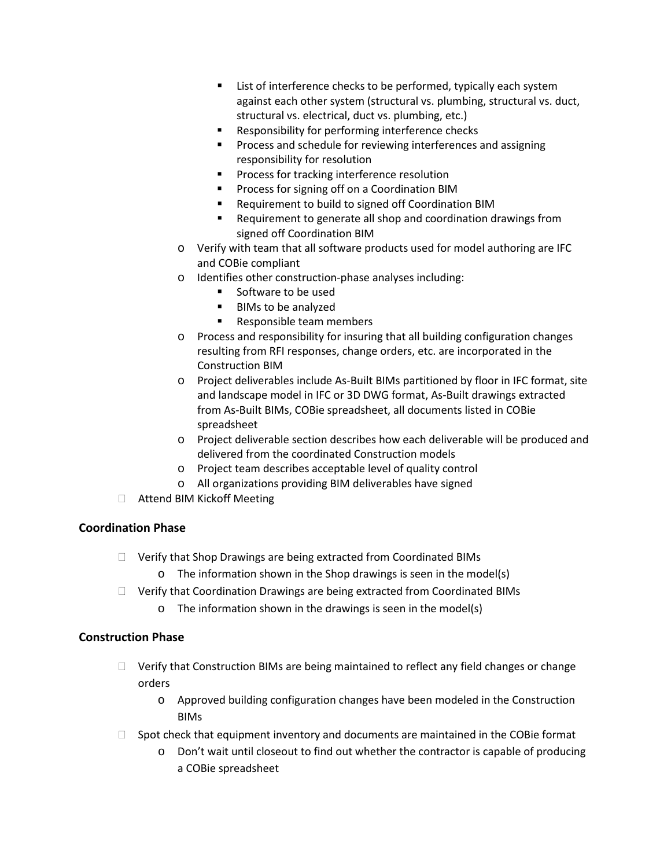- List of interference checks to be performed, typically each system against each other system (structural vs. plumbing, structural vs. duct, structural vs. electrical, duct vs. plumbing, etc.)
- **Responsibility for performing interference checks**
- **Process and schedule for reviewing interferences and assigning** responsibility for resolution
- Process for tracking interference resolution
- **Process for signing off on a Coordination BIM**
- **Requirement to build to signed off Coordination BIM**
- Requirement to generate all shop and coordination drawings from signed off Coordination BIM
- o Verify with team that all software products used for model authoring are IFC and COBie compliant
- o Identifies other construction-phase analyses including:
	- Software to be used
	- **BIMs to be analyzed**
	- **Responsible team members**
- o Process and responsibility for insuring that all building configuration changes resulting from RFI responses, change orders, etc. are incorporated in the Construction BIM
- o Project deliverables include As-Built BIMs partitioned by floor in IFC format, site and landscape model in IFC or 3D DWG format, As-Built drawings extracted from As-Built BIMs, COBie spreadsheet, all documents listed in COBie spreadsheet
- o Project deliverable section describes how each deliverable will be produced and delivered from the coordinated Construction models
- o Project team describes acceptable level of quality control
- o All organizations providing BIM deliverables have signed
- □ Attend BIM Kickoff Meeting

## **Coordination Phase**

- □ Verify that Shop Drawings are being extracted from Coordinated BIMs
	- o The information shown in the Shop drawings is seen in the model(s)
- □ Verify that Coordination Drawings are being extracted from Coordinated BIMs
	- o The information shown in the drawings is seen in the model(s)

#### **Construction Phase**

- $\Box$  Verify that Construction BIMs are being maintained to reflect any field changes or change orders
	- o Approved building configuration changes have been modeled in the Construction BIMs
- $\Box$  Spot check that equipment inventory and documents are maintained in the COBie format
	- o Don't wait until closeout to find out whether the contractor is capable of producing a COBie spreadsheet